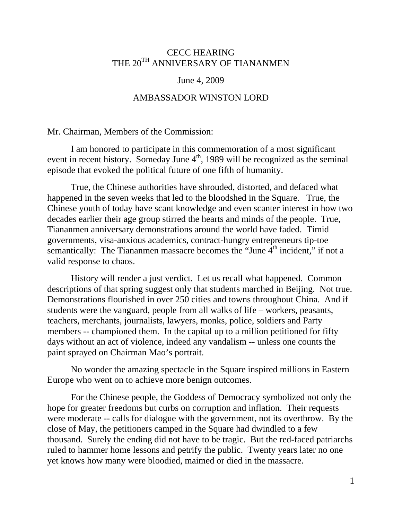## CECC HEARING THE 20<sup>TH</sup> ANNIVERSARY OF TIANANMEN

## June 4, 2009

## AMBASSADOR WINSTON LORD

Mr. Chairman, Members of the Commission:

 I am honored to participate in this commemoration of a most significant event in recent history. Someday June  $4<sup>th</sup>$ , 1989 will be recognized as the seminal episode that evoked the political future of one fifth of humanity.

 True, the Chinese authorities have shrouded, distorted, and defaced what happened in the seven weeks that led to the bloodshed in the Square. True, the Chinese youth of today have scant knowledge and even scanter interest in how two decades earlier their age group stirred the hearts and minds of the people. True, Tiananmen anniversary demonstrations around the world have faded. Timid governments, visa-anxious academics, contract-hungry entrepreneurs tip-toe semantically: The Tiananmen massacre becomes the "June  $4<sup>th</sup>$  incident," if not a valid response to chaos.

History will render a just verdict. Let us recall what happened. Common descriptions of that spring suggest only that students marched in Beijing. Not true. Demonstrations flourished in over 250 cities and towns throughout China. And if students were the vanguard, people from all walks of life – workers, peasants, teachers, merchants, journalists, lawyers, monks, police, soldiers and Party members -- championed them. In the capital up to a million petitioned for fifty days without an act of violence, indeed any vandalism -- unless one counts the paint sprayed on Chairman Mao's portrait.

 No wonder the amazing spectacle in the Square inspired millions in Eastern Europe who went on to achieve more benign outcomes.

 For the Chinese people, the Goddess of Democracy symbolized not only the hope for greater freedoms but curbs on corruption and inflation. Their requests were moderate -- calls for dialogue with the government, not its overthrow. By the close of May, the petitioners camped in the Square had dwindled to a few thousand. Surely the ending did not have to be tragic. But the red-faced patriarchs ruled to hammer home lessons and petrify the public. Twenty years later no one yet knows how many were bloodied, maimed or died in the massacre.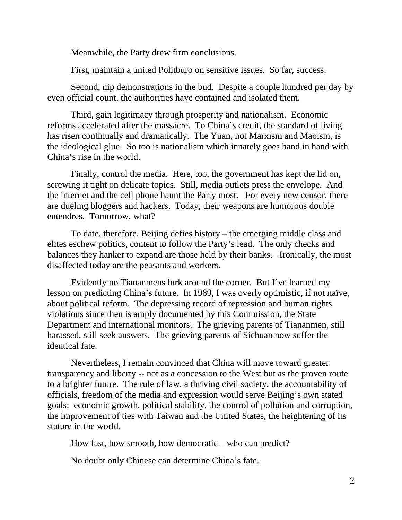Meanwhile, the Party drew firm conclusions.

First, maintain a united Politburo on sensitive issues. So far, success.

Second, nip demonstrations in the bud. Despite a couple hundred per day by even official count, the authorities have contained and isolated them.

Third, gain legitimacy through prosperity and nationalism. Economic reforms accelerated after the massacre. To China's credit, the standard of living has risen continually and dramatically. The Yuan, not Marxism and Maoism, is the ideological glue. So too is nationalism which innately goes hand in hand with China's rise in the world.

Finally, control the media. Here, too, the government has kept the lid on, screwing it tight on delicate topics. Still, media outlets press the envelope. And the internet and the cell phone haunt the Party most. For every new censor, there are dueling bloggers and hackers. Today, their weapons are humorous double entendres. Tomorrow, what?

To date, therefore, Beijing defies history – the emerging middle class and elites eschew politics, content to follow the Party's lead. The only checks and balances they hanker to expand are those held by their banks. Ironically, the most disaffected today are the peasants and workers.

Evidently no Tiananmens lurk around the corner. But I've learned my lesson on predicting China's future. In 1989, I was overly optimistic, if not naïve, about political reform. The depressing record of repression and human rights violations since then is amply documented by this Commission, the State Department and international monitors. The grieving parents of Tiananmen, still harassed, still seek answers. The grieving parents of Sichuan now suffer the identical fate.

Nevertheless, I remain convinced that China will move toward greater transparency and liberty -- not as a concession to the West but as the proven route to a brighter future. The rule of law, a thriving civil society, the accountability of officials, freedom of the media and expression would serve Beijing's own stated goals: economic growth, political stability, the control of pollution and corruption, the improvement of ties with Taiwan and the United States, the heightening of its stature in the world.

How fast, how smooth, how democratic – who can predict?

No doubt only Chinese can determine China's fate.